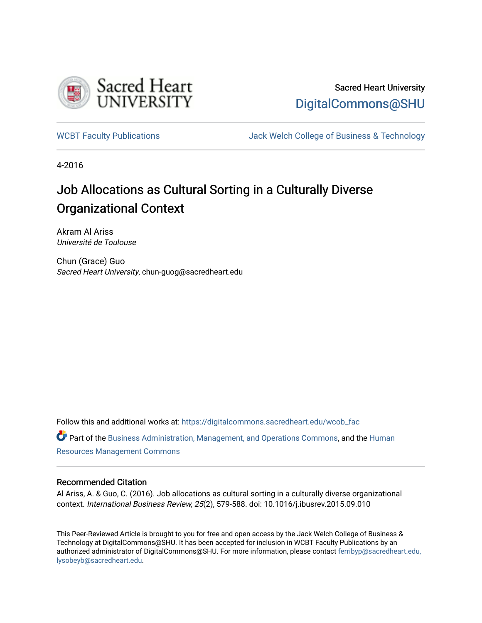

## Sacred Heart University [DigitalCommons@SHU](https://digitalcommons.sacredheart.edu/)

[WCBT Faculty Publications](https://digitalcommons.sacredheart.edu/wcob_fac) **MEGAL SERVINGS** Jack Welch College of Business & Technology

4-2016

# Job Allocations as Cultural Sorting in a Culturally Diverse Organizational Context

Akram Al Ariss Université de Toulouse

Chun (Grace) Guo Sacred Heart University, chun-guog@sacredheart.edu

Follow this and additional works at: [https://digitalcommons.sacredheart.edu/wcob\\_fac](https://digitalcommons.sacredheart.edu/wcob_fac?utm_source=digitalcommons.sacredheart.edu%2Fwcob_fac%2F407&utm_medium=PDF&utm_campaign=PDFCoverPages) **Part of the [Business Administration, Management, and Operations Commons](http://network.bepress.com/hgg/discipline/623?utm_source=digitalcommons.sacredheart.edu%2Fwcob_fac%2F407&utm_medium=PDF&utm_campaign=PDFCoverPages), and the Human** [Resources Management Commons](http://network.bepress.com/hgg/discipline/633?utm_source=digitalcommons.sacredheart.edu%2Fwcob_fac%2F407&utm_medium=PDF&utm_campaign=PDFCoverPages) 

### Recommended Citation

Al Ariss, A. & Guo, C. (2016). Job allocations as cultural sorting in a culturally diverse organizational context. International Business Review, 25(2), 579-588. doi: 10.1016/j.ibusrev.2015.09.010

This Peer-Reviewed Article is brought to you for free and open access by the Jack Welch College of Business & Technology at DigitalCommons@SHU. It has been accepted for inclusion in WCBT Faculty Publications by an authorized administrator of DigitalCommons@SHU. For more information, please contact [ferribyp@sacredheart.edu,](mailto:ferribyp@sacredheart.edu,%20lysobeyb@sacredheart.edu)  [lysobeyb@sacredheart.edu](mailto:ferribyp@sacredheart.edu,%20lysobeyb@sacredheart.edu).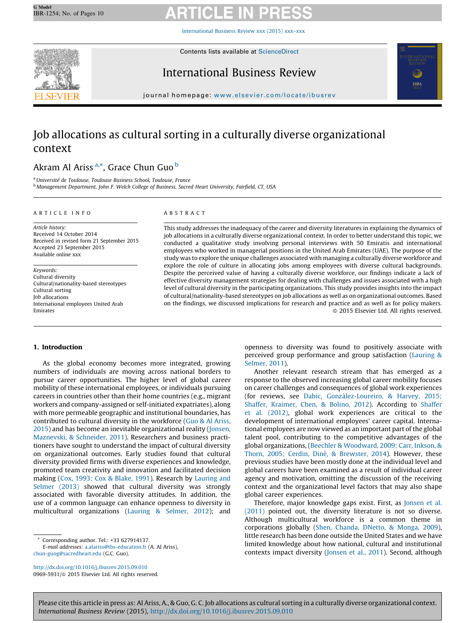[International](http://dx.doi.org/10.1016/j.ibusrev.2015.09.010) Business Review xxx (2015) xxx–xxx



Contents lists available at [ScienceDirect](http://www.sciencedirect.com/science/journal/09695931)

## International Business Review



journal homepage: [www.elsevier.com/locate/ibus](www.elsevier.com/locate/ibusrev)rev

## Job allocations as cultural sorting in a culturally diverse organizational context

## Akram Al Ariss <sup>a,\*</sup>, Grace Chun Guo <sup>b</sup>

<sup>a</sup> Université de Toulouse, Toulouse Business School, Toulouse, France

<sup>b</sup> Management Department, John F. Welch College of Business, Sacred Heart University, Fairfield, CT, USA

### A R T I C L E I N F O

Article history: Received 14 October 2014 Received in revised form 21 September 2015 Accepted 23 September 2015 Available online xxx

Keywords: Cultural diversity Cultural/nationality-based stereotypes Cultural sorting Job allocations International employees United Arab Emirates

### A B S T R A C T

This study addresses the inadequacy of the career and diversity literatures in explaining the dynamics of job allocations in a culturally diverse organizational context. In order to better understand this topic, we conducted a qualitative study involving personal interviews with 50 Emiratis and international employees who worked in managerial positions in the United Arab Emirates (UAE). The purpose of the study was to explore the unique challenges associated with managing a culturally diverse workforce and explore the role of culture in allocating jobs among employees with diverse cultural backgrounds. Despite the perceived value of having a culturally diverse workforce, our findings indicate a lack of effective diversity management strategies for dealing with challenges and issues associated with a high level of cultural diversity in the participating organizations. This study provides insights into the impact of cultural/nationality-based stereotypes on job allocations as well as on organizational outcomes. Based on the findings, we discussed implications for research and practice and as well as for policy makers. - 2015 Elsevier Ltd. All rights reserved.

### 1. Introduction

As the global economy becomes more integrated, growing numbers of individuals are moving across national borders to pursue career opportunities. The higher level of global career mobility of these international employees, or individuals pursuing careers in countries other than their home countries (e.g., migrant workers and company-assigned or self-initiated expatriates), along with more permeable geographic and institutional boundaries, has contributed to cultural diversity in the workforce (Guo & Al [Ariss,](#page-9-0) [2015\)](#page-9-0) and has become an inevitable organizational reality [\(Jonsen,](#page-10-0) [Maznevski,](#page-10-0) & Schneider, 2011). Researchers and business practitioners have sought to understand the impact of cultural diversity on organizational outcomes. Early studies found that cultural diversity provided firms with diverse experiences and knowledge, promoted team creativity and innovation and facilitated decision making (Cox, 1993; Cox & [Blake,](#page-9-0) 1991). Research by [Lauring](#page-10-0) and [Selmer](#page-10-0) (2013) showed that cultural diversity was strongly associated with favorable diversity attitudes. In addition, the use of a common language can enhance openness to diversity in multicultural organizations [\(Lauring](#page-10-0) & Selmer, 2012); and

E-mail addresses: [a.alariss@tbs-education.fr](mailto:a.alariss@tbs-education.fr) (A. Al Ariss), [chun-guog@sacredheart.edu](mailto:chun-guog@sacredheart.edu) (G.C. Guo).

<http://dx.doi.org/10.1016/j.ibusrev.2015.09.010> 0969-5931/© 2015 Elsevier Ltd. All rights reserved. openness to diversity was found to positively associate with perceived group performance and group satisfaction [\(Lauring](#page-10-0) & [Selmer,](#page-10-0) 2011).

Another relevant research stream that has emerged as a response to the observed increasing global career mobility focuses on career challenges and consequences of global work experiences (for reviews, see Dabic, Gonzàlez-Loureiro, & Harvey, 2015; Shaffer, [Kraimer,](#page-9-0) Chen, & Bolino, 2012). According to [Shaffer](#page-10-0) et al. [\(2012\),](#page-10-0) global work experiences are critical to the development of international employees' career capital. International employees are now viewed as an important part of the global talent pool, contributing to the competitive advantages of the global organizations, (Beechler & [Woodward,](#page-9-0) 2009; Carr, Inkson, & Thorn, 2005; Cerdin, Diné, & [Brewster,](#page-9-0) 2014). However, these previous studies have been mostly done at the individual level and global careers have been examined as a result of individual career agency and motivation, omitting the discussion of the receiving context and the organizational level factors that may also shape global career experiences.

Therefore, major knowledge gaps exist. First, as [Jonsen](#page-10-0) et al. [\(2011\)](#page-10-0) pointed out, the diversity literature is not so diverse. Although multicultural workforce is a common theme in corporations globally (Shen, [Chanda,](#page-10-0) DNetto, & Monga, 2009), little research has been done outside the United States and we have limited knowledge about how national, cultural and institutional contexts impact diversity [\(Jonsen](#page-10-0) et al., 2011). Second, although

Corresponding author. Tel.: +33 627914137.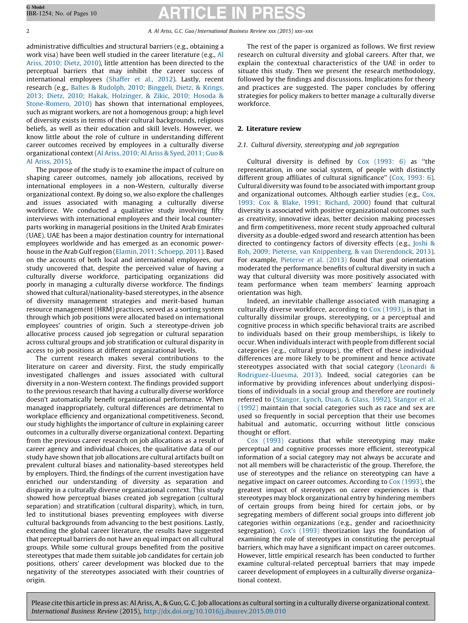administrative difficulties and structural barriers (e.g., obtaining a work visa) have been well studied in the career literature (e.g., [Al](#page-9-0) Ariss, [2010;](#page-9-0) Dietz, 2010), little attention has been directed to the perceptual barriers that may inhibit the career success of international employees ([Shaffer](#page-10-0) et al., 2012). Lastly, recent research (e.g., Baltes & [Rudolph,](#page-9-0) 2010; Binggeli, Dietz, & Krings, 2013; Dietz, 2010; Hakak, [Holzinger,](#page-9-0) & Zikic, 2010; Hosoda & [Stone-Romero,](#page-9-0) 2010) has shown that international employees, such as migrant workers, are not a homogenous group; a high level of diversity exists in terms of their cultural backgrounds, religious beliefs, as well as their education and skill levels. However, we know little about the role of culture in understanding different career outcomes received by employees in a culturally diverse organizational context (Al Ariss, 2010; Al Ariss & Syed, [2011;](#page-9-0) Guo & Al [Ariss,](#page-9-0) 2015).

The purpose of the study is to examine the impact of culture on shaping career outcomes, namely job allocations, received by international employees in a non-Western, culturally diverse organizational context. By doing so, we also explore the challenges and issues associated with managing a culturally diverse workforce. We conducted a qualitative study involving fifty interviews with international employees and their local counterparts working in managerial positions in the United Arab Emirates (UAE). UAE has been a major destination country for international employees worldwide and has emerged as an economic powerhouse in the Arab Gulf region (Elamin, 2011; [Schoepp,](#page-9-0) 2011). Based on the accounts of both local and international employees, our study uncovered that, despite the perceived value of having a culturally diverse workforce, participating organizations did poorly in managing a culturally diverse workforce. The findings showed that cultural/nationality-based stereotypes, in the absence of diversity management strategies and merit-based human resource management (HRM) practices, served as a sorting system through which job positions were allocated based on international employees' countries of origin. Such a stereotype-driven job allocative process caused job segregation or cultural separation across cultural groups and job stratification or cultural disparity in access to job positions at different organizational levels.

The current research makes several contributions to the literature on career and diversity. First, the study empirically investigated challenges and issues associated with cultural diversity in a non-Western context. The findings provided support to the previous research that having a culturally diverse workforce doesn't automatically benefit organizational performance. When managed inappropriately, cultural differences are detrimental to workplace efficiency and organizational competitiveness. Second, our study highlights the importance of culture in explaining career outcomes in a culturally diverse organizational context. Departing from the previous career research on job allocations as a result of career agency and individual choices, the qualitative data of our study have shown that job allocations are cultural artifacts built on prevalent cultural biases and nationality-based stereotypes held by employers. Third, the findings of the current investigation have enriched our understanding of diversity as separation and disparity in a culturally diverse organizational context. This study showed how perceptual biases created job segregation (cultural separation) and stratification (cultural disparity), which, in turn, led to institutional biases preventing employees with diverse cultural backgrounds from advancing to the best positions. Lastly, extending the global career literature, the results have suggested that perceptual barriers do not have an equal impact on all cultural groups. While some cultural groups benefited from the positive stereotypes that made them suitable job candidates for certain job positions, others' career development was blocked due to the negativity of the stereotypes associated with their countries of origin.

The rest of the paper is organized as follows. We first review research on cultural diversity and global careers. After that, we explain the contextual characteristics of the UAE in order to situate this study. Then we present the research methodology, followed by the findings and discussions. Implications for theory and practices are suggested. The paper concludes by offering strategies for policy makers to better manage a culturally diverse workforce.

### 2. Literature review

### 2.1. Cultural diversity, stereotyping and job segregation

Cultural diversity is defined by Cox [\(1993:](#page-9-0) 6) as ''the representation, in one social system, of people with distinctly different group affiliates of cultural significance'' (Cox, [1993:](#page-9-0) 6). Cultural diversity was found to be associated with important group and organizational outcomes. Although earlier studies (e.g., [Cox,](#page-9-0) 1993; Cox & Blake, 1991; [Richard,](#page-9-0) 2000) found that cultural diversity is associated with positive organizational outcomes such as creativity, innovative ideas, better decision making processes and firm competitiveness, more recent study approached cultural diversity as a double-edged sword and research attention has been directed to contingency factors of diversity effects (e.g., [Joshi](#page-10-0) & Roh, 2009; Pieterse, van [Knippenberg,](#page-10-0) & van Dierendonck, 2013). For example, [Pieterse](#page-10-0) et al. (2013) found that goal orientation moderated the performance benefits of cultural diversity in such a way that cultural diversity was more positively associated with team performance when team members' learning approach orientation was high.

Indeed, an inevitable challenge associated with managing a culturally diverse workforce, according to Cox [\(1993\),](#page-9-0) is that in culturally dissimilar groups, stereotyping, or a perceptual and cognitive process in which specific behavioral traits are ascribed to individuals based on their group memberships, is likely to occur. When individuals interact with people from different social categories (e.g., cultural groups), the effect of these individual differences are more likely to be prominent and hence activate stereotypes associated with that social category [\(Leonardi](#page-10-0) & [Rodriguez-Lluesma,](#page-10-0) 2013). Indeed, social categories can be informative by providing inferences about underlying dispositions of individuals in a social group and therefore are routinely referred to ([Stangor,](#page-10-0) Lynch, Duan, & Glass, 1992). [Stangor](#page-10-0) et al. [\(1992\)](#page-10-0) maintain that social categories such as race and sex are used so frequently in social perception that their use becomes habitual and automatic, occurring without little conscious thought or effort.

Cox [\(1993\)](#page-9-0) cautions that while stereotyping may make perceptual and cognitive processes more efficient, stereotypical information of a social category may not always be accurate and not all members will be characteristic of the group. Therefore, the use of stereotypes and the reliance on stereotyping can have a negative impact on career outcomes. According to Cox [\(1993\)](#page-9-0), the greatest impact of stereotypes on career experiences is that stereotypes may block organizational entry by hindering members of certain groups from being hired for certain jobs, or by segregating members of different social groups into different job categories within organizations (e.g., gender and racioethnicity segregation). Cox's [\(1993\)](#page-9-0) theorization lays the foundation of examining the role of stereotypes in constituting the perceptual barriers, which may have a significant impact on career outcomes. However, little empirical research has been conducted to further examine cultural-related perceptual barriers that may impede career development of employees in a culturally diverse organizational context.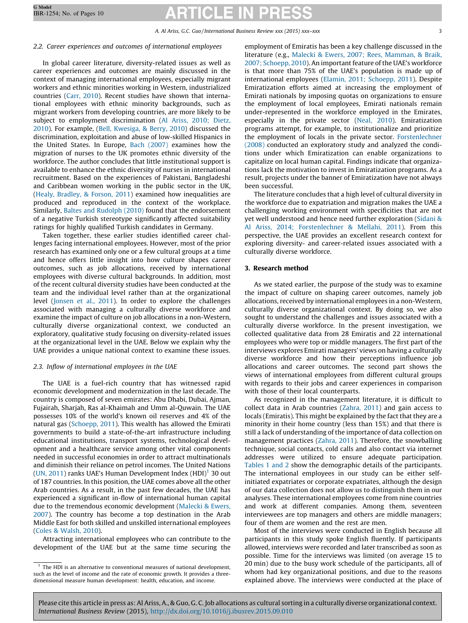### 2.2. Career experiences and outcomes of international employees

In global career literature, diversity-related issues as well as career experiences and outcomes are mainly discussed in the context of managing international employees, especially migrant workers and ethnic minorities working in Western, industrialized countries (Carr, [2010](#page-9-0)). Recent studies have shown that international employees with ethnic minority backgrounds, such as migrant workers from developing countries, are more likely to be subject to employment discrimination (Al Ariss, [2010;](#page-9-0) Dietz, [2010\)](#page-9-0). For example, (Bell, [Kwesiga,](#page-9-0) & Berry, 2010) discussed the discrimination, exploitation and abuse of low-skilled Hispanics in the United States. In Europe, Bach [\(2007\)](#page-9-0) examines how the migration of nurses to the UK promotes ethnic diversity of the workforce. The author concludes that little institutional support is available to enhance the ethnic diversity of nurses in international recruitment. Based on the experiences of Pakistani, Bangladeshi and Caribbean women working in the public sector in the UK, (Healy, [Bradley,](#page-10-0) & Forson, 2011) examined how inequalities are produced and reproduced in the context of the workplace. Similarly, Baltes and [Rudolph](#page-9-0) (2010) found that the endorsement of a negative Turkish stereotype significantly affected suitability ratings for highly qualified Turkish candidates in Germany.

Taken together, these earlier studies identified career challenges facing international employees. However, most of the prior research has examined only one or a few cultural groups at a time and hence offers little insight into how culture shapes career outcomes, such as job allocations, received by international employees with diverse cultural backgrounds. In addition, most of the recent cultural diversity studies have been conducted at the team and the individual level rather than at the organizational level [\(Jonsen](#page-10-0) et al., 2011). In order to explore the challenges associated with managing a culturally diverse workforce and examine the impact of culture on job allocations in a non-Western, culturally diverse organizational context, we conducted an exploratory, qualitative study focusing on diversity-related issues at the organizational level in the UAE. Below we explain why the UAE provides a unique national context to examine these issues.

### 2.3. Inflow of international employees in the UAE

The UAE is a fuel-rich country that has witnessed rapid economic development and modernization in the last decade. The country is composed of seven emirates: Abu Dhabi, Dubai, Ajman, Fujairah, Sharjah, Ras al-Khaimah and Umm al-Quwain. The UAE possesses 10% of the world's known oil reserves and 4% of the natural gas ([Schoepp,](#page-10-0) 2011). This wealth has allowed the Emirati governments to build a state-of-the-art infrastructure including educational institutions, transport systems, technological development and a healthcare service among other vital components needed in successful economies in order to attract multinationals and diminish their reliance on petrol incomes. The United Nations (UN, [2011](#page-10-0)) ranks UAE's Human Development Index  $(HDI)^1$  30 out of 187 countries. In this position, the UAE comes above all the other Arab countries. As a result, in the past few decades, the UAE has experienced a significant in-flow of international human capital due to the tremendous economic development ([Malecki](#page-10-0) & Ewers, [2007\)](#page-10-0). The country has become a top destination in the Arab Middle East for both skilled and unskilled international employees (Coles & [Walsh,](#page-9-0) 2010).

Attracting international employees who can contribute to the development of the UAE but at the same time securing the employment of Emiratis has been a key challenge discussed in the literature (e.g., Malecki & Ewers, 2007; Rees, [Mamman,](#page-10-0) & Braik, 2007; [Schoepp,](#page-10-0) 2010). An important feature of the UAE's workforce is that more than 75% of the UAE's population is made up of international employees (Elamin, 2011; [Schoepp,](#page-9-0) 2011). Despite Emiratization efforts aimed at increasing the employment of Emirati nationals by imposing quotas on organizations to ensure the employment of local employees, Emirati nationals remain under-represented in the workforce employed in the Emirates, especially in the private sector (Neal, [2010](#page-10-0)). Emiratization programs attempt, for example, to institutionalize and prioritize the employment of locals in the private sector. [Forstenlechner](#page-9-0) [\(2008\)](#page-9-0) conducted an exploratory study and analyzed the conditions under which Emiratization can enable organizations to capitalize on local human capital. Findings indicate that organizations lack the motivation to invest in Emiratization programs. As a result, projects under the banner of Emiratization have not always been successful.

The literature concludes that a high level of cultural diversity in the workforce due to expatriation and migration makes the UAE a challenging working environment with specificities that are not yet well understood and hence need further exploration ([Sidani](#page-9-0) & Al Ariss, 2014; [Forstenlechner](#page-9-0) & Mellahi, 2011). From this perspective, the UAE provides an excellent research context for exploring diversity- and career-related issues associated with a culturally diverse workforce.

### 3. Research method

As we stated earlier, the purpose of the study was to examine the impact of culture on shaping career outcomes, namely job allocations, received by international employees in a non-Western, culturally diverse organizational context. By doing so, we also sought to understand the challenges and issues associated with a culturally diverse workforce. In the present investigation, we collected qualitative data from 28 Emiratis and 22 international employees who were top or middle managers. The first part of the interviews explores Emirati managers' views on having a culturally diverse workforce and how their perceptions influence job allocations and career outcomes. The second part shows the views of international employees from different cultural groups with regards to their jobs and career experiences in comparison with those of their local counterparts.

As recognized in the management literature, it is difficult to collect data in Arab countries ([Zahra,](#page-10-0) 2011) and gain access to locals (Emiratis). This might be explained by the fact that they are a minority in their home country (less than 15%) and that there is still a lack of understanding of the importance of data collection on management practices [\(Zahra,](#page-10-0) 2011). Therefore, the snowballing technique, social contacts, cold calls and also contact via internet addresses were utilized to ensure adequate participation. [Tables](#page-4-0) 1 and 2 show the demographic details of the participants. The international employees in our study can be either selfinitiated expatriates or corporate expatriates, although the design of our data collection does not allow us to distinguish them in our analyses. These international employees come from nine countries and work at different companies. Among them, seventeen interviewees are top managers and others are middle managers; four of them are women and the rest are men.

Most of the interviews were conducted in English because all participants in this study spoke English fluently. If participants allowed, interviews were recorded and later transcribed as soon as possible. Time for the interviews was limited (on average 15 to 20 min) due to the busy work schedule of the participants, all of whom had key organizational positions, and due to the reasons explained above. The interviews were conducted at the place of

 $1$  The HDI is an alternative to conventional measures of national development, such as the level of income and the rate of economic growth. It provides a threedimensional measure human development: health, education, and income.

Please cite this article in press as: Al Ariss, A., & Guo, G. C. Job allocations as cultural sorting in a culturally diverse organizational context. International Business Review (2015), <http://dx.doi.org/10.1016/j.ibusrev.2015.09.010>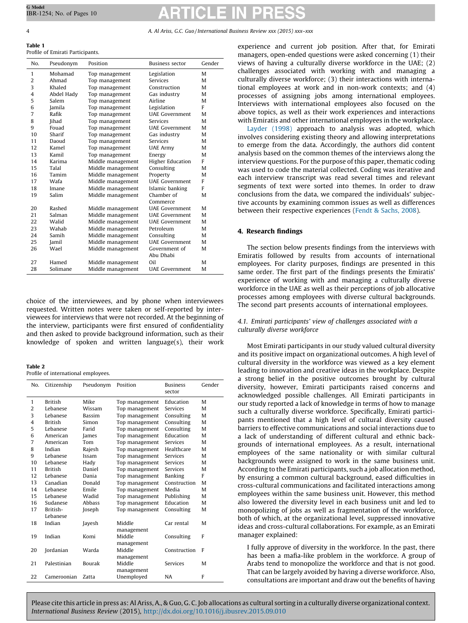| Profile of Emirati Participants. |  |
|----------------------------------|--|

Table 1

| No.            | Pseudonym    | Position          | <b>Business sector</b>  | Gender |
|----------------|--------------|-------------------|-------------------------|--------|
| 1              | Mohamad      | Top management    | Legislation             | М      |
| $\overline{2}$ | Ahmad        | Top management    | <b>Services</b>         | М      |
| 3              | Khaled       | Top management    | Construction            | М      |
| 4              | Abdel Hady   | Top management    | Gas industry            | M      |
| 5              | Salem        | Top management    | Airline                 | М      |
| 6              | Jamila       | Top management    | Legislation             | F      |
| 7              | Rafik        | Top management    | <b>UAE Government</b>   | М      |
| 8              | <b>Jihad</b> | Top management    | Services                | М      |
| 9              | Fouad        | Top management    | <b>UAE Government</b>   | М      |
| 10             | Sharif       | Top management    | Gas industry            | М      |
| 11             | Daoud        | Top management    | <b>Services</b>         | М      |
| 12             | Kamel        | Top management    | <b>UAE Army</b>         | М      |
| 13             | Kamil        | Top management    | Energy                  | М      |
| 14             | Karima       | Middle management | <b>Higher Education</b> | F      |
| 15             | Talal        | Middle management | Consulting              | М      |
| 16             | Tamim        | Middle management | Property                | М      |
| 17             | Wafa         | Middle management | <b>UAE Government</b>   | F      |
| 18             | Imane        | Middle management | Islamic banking         | F      |
| 19             | Salim        | Middle management | Chamber of              |        |
|                |              |                   | Commerce                |        |
| 20             | Rashed       | Middle management | <b>UAE</b> Government   | М      |
| 21             | Salman       | Middle management | <b>UAE Government</b>   | М      |
| 22             | Walid        | Middle management | <b>UAE Government</b>   | М      |
| 23             | Wahab        | Middle management | Petroleum               | М      |
| 24             | Samih        | Middle management | Consulting              | M      |
| 25             | Jamil        | Middle management | <b>UAE Government</b>   | М      |
| 26             | Wael         | Middle management | Government of           | М      |
|                |              |                   | Abu Dhabi               |        |
| 27             | Hamed        | Middle management | Oil                     | М      |
| 28             | Solimane     | Middle management | <b>UAE Government</b>   | M      |

choice of the interviewees, and by phone when interviewees requested. Written notes were taken or self-reported by interviewees for interviews that were not recorded. At the beginning of the interview, participants were first ensured of confidentiality and then asked to provide background information, such as their knowledge of spoken and written language(s), their work

### Table 2

Profile of international employees.

| No. | Citizenship    | Pseudonym     | Position       | <b>Business</b><br>sector | Gender |
|-----|----------------|---------------|----------------|---------------------------|--------|
| 1   | <b>British</b> | Mike          | Top management | Education                 | м      |
| 2   | Lebanese       | Wissam        | Top management | Services                  | м      |
| 3   | Lebanese       | Bassim        | Top management | Consulting                | M      |
| 4   | <b>British</b> | Simon         | Top management | Consulting                | M      |
| 5   | Lebanese       | Farid         | Top management | Consulting                | M      |
| 6   | American       | James         | Top management | Education                 | M      |
| 7   | American       | Tom           | Top management | <b>Services</b>           | M      |
| 8   | Indian         | Rajesh        | Top management | Healthcare                | M      |
| 9   | Lebanese       | Issam         | Top management | Services                  | M      |
| 10  | Lebanese       | Hady          | Top management | <b>Services</b>           | М      |
| 11  | <b>British</b> | Daniel        | Top management | <b>Services</b>           | M      |
| 12  | Lebanese       | Dania         | Top management | <b>Banking</b>            | F      |
| 13  | Canadian       | Donald        | Top management | Construction              | М      |
| 14  | Lebanese       | Emile         | Top management | Media                     | M      |
| 15  | Lebanese       | Wadid         | Top management | Publishing                | M      |
| 16  | Sudanese       | <b>Abbass</b> | Top management | Education                 | M      |
| 17  | British-       | Joseph        | Top management | Consulting                | M      |
|     | Lebanese       |               |                |                           |        |
| 18  | Indian         | Jayesh        | Middle         | Car rental                | м      |
|     |                |               | management     |                           |        |
| 19  | Indian         | Komi          | Middle         | Consulting                | F      |
|     |                |               | management     |                           |        |
| 20  | Jordanian      | Warda         | Middle         | Construction              | F      |
|     |                |               | management     |                           |        |
| 21  | Palestinian    | Bourak        | Middle         | Services                  | M      |
|     |                |               | management     |                           |        |
| 22  | Cameroonian    | Zatta         | Unemployed     | NA                        | F      |

experience and current job position. After that, for Emirati managers, open-ended questions were asked concerning (1) their views of having a culturally diverse workforce in the UAE; (2) challenges associated with working with and managing a culturally diverse workforce; (3) their interactions with international employees at work and in non-work contexts; and (4) processes of assigning jobs among international employees. Interviews with international employees also focused on the above topics, as well as their work experiences and interactions with Emiratis and other international employees in the workplace.

Layder [\(1998\)](#page-10-0) approach to analysis was adopted, which involves considering existing theory and allowing interpretations to emerge from the data. Accordingly, the authors did content analysis based on the common themes of the interviews along the interview questions. For the purpose of this paper, thematic coding was used to code the material collected. Coding was iterative and each interview transcript was read several times and relevant segments of text were sorted into themes. In order to draw conclusions from the data, we compared the individuals' subjective accounts by examining common issues as well as differences between their respective experiences (Fendt & [Sachs,](#page-9-0) 2008).

### 4. Research findings

The section below presents findings from the interviews with Emiratis followed by results from accounts of international employees. For clarity purposes, findings are presented in this same order. The first part of the findings presents the Emiratis' experience of working with and managing a culturally diverse workforce in the UAE as well as their perceptions of job allocative processes among employees with diverse cultural backgrounds. The second part presents accounts of international employees.

### 4.1. Emirati participants' view of challenges associated with a culturally diverse workforce

Most Emirati participants in our study valued cultural diversity and its positive impact on organizational outcomes. A high level of cultural diversity in the workforce was viewed as a key element leading to innovation and creative ideas in the workplace. Despite a strong belief in the positive outcomes brought by cultural diversity, however, Emirati participants raised concerns and acknowledged possible challenges. All Emirati participants in our study reported a lack of knowledge in terms of how to manage such a culturally diverse workforce. Specifically, Emirati participants mentioned that a high level of cultural diversity caused barriers to effective communications and social interactions due to a lack of understanding of different cultural and ethnic backgrounds of international employees. As a result, international employees of the same nationality or with similar cultural backgrounds were assigned to work in the same business unit. According to the Emirati participants, such a job allocation method, by ensuring a common cultural background, eased difficulties in cross-cultural communications and facilitated interactions among employees within the same business unit. However, this method also lowered the diversity level in each business unit and led to monopolizing of jobs as well as fragmentation of the workforce, both of which, at the organizational level, suppressed innovative ideas and cross-cultural collaborations. For example, as an Emirati manager explained:

I fully approve of diversity in the workforce. In the past, there has been a mafia-like problem in the workforce. A group of Arabs tend to monopolize the workforce and that is not good. That can be largely avoided by having a diverse workforce. Also, consultations are important and draw out the benefits of having

<span id="page-4-0"></span>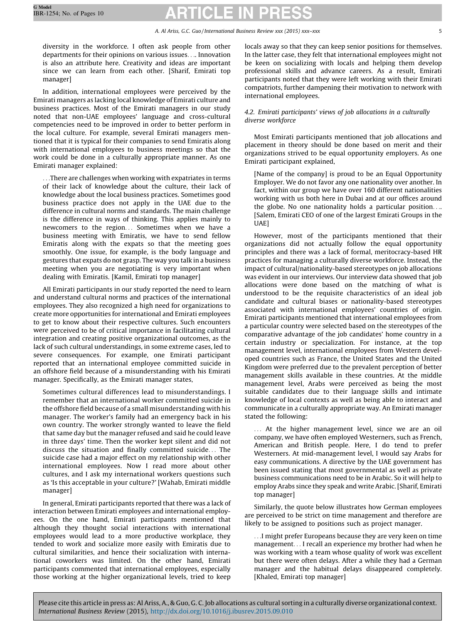diversity in the workforce. I often ask people from other departments for their opinions on various issues. . .. Innovation is also an attribute here. Creativity and ideas are important since we can learn from each other. [Sharif, Emirati top manager]

In addition, international employees were perceived by the Emirati managers as lacking local knowledge of Emirati culture and business practices. Most of the Emirati managers in our study noted that non-UAE employees' language and cross-cultural competencies need to be improved in order to better perform in the local culture. For example, several Emirati managers mentioned that it is typical for their companies to send Emiratis along with international employees to business meetings so that the work could be done in a culturally appropriate manner. As one Emirati manager explained:

. . .There are challenges when working with expatriates in terms of their lack of knowledge about the culture, their lack of knowledge about the local business practices. Sometimes good business practice does not apply in the UAE due to the difference in cultural norms and standards. The main challenge is the difference in ways of thinking. This applies mainly to newcomers to the region... Sometimes when we have a business meeting with Emiratis, we have to send fellow Emiratis along with the expats so that the meeting goes smoothly. One issue, for example, is the body language and gestures that expats do not grasp. The way you talk in a business meeting when you are negotiating is very important when dealing with Emiratis. [Kamil, Emirati top manager]

All Emirati participants in our study reported the need to learn and understand cultural norms and practices of the international employees. They also recognized a high need for organizations to create more opportunities for international and Emirati employees to get to know about their respective cultures. Such encounters were perceived to be of critical importance in facilitating cultural integration and creating positive organizational outcomes, as the lack of such cultural understandings, in some extreme cases, led to severe consequences. For example, one Emirati participant reported that an international employee committed suicide in an offshore field because of a misunderstanding with his Emirati manager. Specifically, as the Emirati manager states,

Sometimes cultural differences lead to misunderstandings. I remember that an international worker committed suicide in the offshore field because of a small misunderstanding with his manager. The worker's family had an emergency back in his own country. The worker strongly wanted to leave the field that same day but the manager refused and said he could leave in three days' time. Then the worker kept silent and did not discuss the situation and finally committed suicide. . . The suicide case had a major effect on my relationship with other international employees. Now I read more about other cultures, and I ask my international workers questions such as 'Is this acceptable in your culture?' [Wahab, Emirati middle manager]

In general, Emirati participants reported that there was a lack of interaction between Emirati employees and international employees. On the one hand, Emirati participants mentioned that although they thought social interactions with international employees would lead to a more productive workplace, they tended to work and socialize more easily with Emiratis due to cultural similarities, and hence their socialization with international coworkers was limited. On the other hand, Emirati participants commented that international employees, especially those working at the higher organizational levels, tried to keep

locals away so that they can keep senior positions for themselves. In the latter case, they felt that international employees might not be keen on socializing with locals and helping them develop professional skills and advance careers. As a result, Emirati participants noted that they were left working with their Emirati compatriots, further dampening their motivation to network with international employees.

### 4.2. Emirati participants' views of job allocations in a culturally diverse workforce

Most Emirati participants mentioned that job allocations and placement in theory should be done based on merit and their organizations strived to be equal opportunity employers. As one Emirati participant explained,

[Name of the company] is proud to be an Equal Opportunity Employer. We do not favor any one nationality over another. In fact, within our group we have over 160 different nationalities working with us both here in Dubai and at our offices around the globe. No one nationality holds a particular position. . .. [Salem, Emirati CEO of one of the largest Emirati Groups in the UAE]

However, most of the participants mentioned that their organizations did not actually follow the equal opportunity principles and there was a lack of formal, meritocracy-based HR practices for managing a culturally diverse workforce. Instead, the impact of cultural/nationality-based stereotypes on job allocations was evident in our interviews. Our interview data showed that job allocations were done based on the matching of what is understood to be the requisite characteristics of an ideal job candidate and cultural biases or nationality-based stereotypes associated with international employees' countries of origin. Emirati participants mentioned that international employees from a particular country were selected based on the stereotypes of the comparative advantage of the job candidates' home country in a certain industry or specialization. For instance, at the top management level, international employees from Western developed countries such as France, the United States and the United Kingdom were preferred due to the prevalent perception of better management skills available in these countries. At the middle management level, Arabs were perceived as being the most suitable candidates due to their language skills and intimate knowledge of local contexts as well as being able to interact and communicate in a culturally appropriate way. An Emirati manager stated the following:

... At the higher management level, since we are an oil company, we have often employed Westerners, such as French, American and British people. Here, I do tend to prefer Westerners. At mid-management level, I would say Arabs for easy communications. A directive by the UAE government has been issued stating that most governmental as well as private business communications need to be in Arabic. So it will help to employ Arabs since they speak and write Arabic. [Sharif, Emirati top manager]

Similarly, the quote below illustrates how German employees are perceived to be strict on time management and therefore are likely to be assigned to positions such as project manager.

. . .I might prefer Europeans because they are very keen on time management. . . I recall an experience my brother had when he was working with a team whose quality of work was excellent but there were often delays. After a while they had a German manager and the habitual delays disappeared completely. [Khaled, Emirati top manager]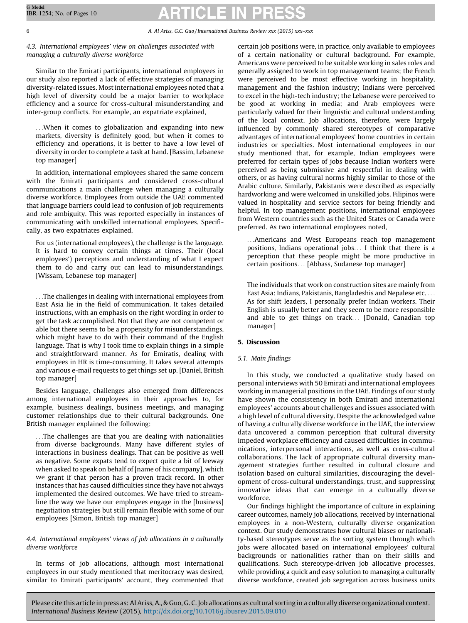4.3. International employees' view on challenges associated with managing a culturally diverse workforce

Similar to the Emirati participants, international employees in our study also reported a lack of effective strategies of managing diversity-related issues. Most international employees noted that a high level of diversity could be a major barrier to workplace efficiency and a source for cross-cultural misunderstanding and inter-group conflicts. For example, an expatriate explained,

. . .When it comes to globalization and expanding into new markets, diversity is definitely good, but when it comes to efficiency and operations, it is better to have a low level of diversity in order to complete a task at hand. [Bassim, Lebanese top manager]

In addition, international employees shared the same concern with the Emirati participants and considered cross-cultural communications a main challenge when managing a culturally diverse workforce. Employees from outside the UAE commented that language barriers could lead to confusion of job requirements and role ambiguity. This was reported especially in instances of communicating with unskilled international employees. Specifically, as two expatriates explained,

For us (international employees), the challenge is the language. It is hard to convey certain things at times. Their (local employees') perceptions and understanding of what I expect them to do and carry out can lead to misunderstandings. [Wissam, Lebanese top manager]

. . .The challenges in dealing with international employees from East Asia lie in the field of communication. It takes detailed instructions, with an emphasis on the right wording in order to get the task accomplished. Not that they are not competent or able but there seems to be a propensity for misunderstandings, which might have to do with their command of the English language. That is why I took time to explain things in a simple and straightforward manner. As for Emiratis, dealing with employees in HR is time-consuming. It takes several attempts and various e-mail requests to get things set up. [Daniel, British top manager]

Besides language, challenges also emerged from differences among international employees in their approaches to, for example, business dealings, business meetings, and managing customer relationships due to their cultural backgrounds. One British manager explained the following:

. . .The challenges are that you are dealing with nationalities from diverse backgrounds. Many have different styles of interactions in business dealings. That can be positive as well as negative. Some expats tend to expect quite a bit of leeway when asked to speak on behalf of [name of his company], which we grant if that person has a proven track record. In other instances that has caused difficulties since they have not always implemented the desired outcomes. We have tried to streamline the way we have our employees engage in the [business] negotiation strategies but still remain flexible with some of our employees [Simon, British top manager]

### 4.4. International employees' views of job allocations in a culturally diverse workforce

In terms of job allocations, although most international employees in our study mentioned that meritocracy was desired, similar to Emirati participants' account, they commented that certain job positions were, in practice, only available to employees of a certain nationality or cultural background. For example, Americans were perceived to be suitable working in sales roles and generally assigned to work in top management teams; the French were perceived to be most effective working in hospitality, management and the fashion industry; Indians were perceived to excel in the high-tech industry; the Lebanese were perceived to be good at working in media; and Arab employees were particularly valued for their linguistic and cultural understanding of the local context. Job allocations, therefore, were largely influenced by commonly shared stereotypes of comparative advantages of international employees' home countries in certain industries or specialties. Most international employees in our study mentioned that, for example, Indian employees were preferred for certain types of jobs because Indian workers were perceived as being submissive and respectful in dealing with others, or as having cultural norms highly similar to those of the Arabic culture. Similarly, Pakistanis were described as especially hardworking and were welcomed in unskilled jobs. Filipinos were valued in hospitality and service sectors for being friendly and helpful. In top management positions, international employees from Western countries such as the United States or Canada were preferred. As two international employees noted,

. . .Americans and West Europeans reach top management positions, Indians operational jobs. . . I think that there is a perception that these people might be more productive in certain positions... [Abbass, Sudanese top manager]

The individuals that work on construction sites are mainly from East Asia: Indians, Pakistanis, Bangladeshis and Nepalese etc. . . . As for shift leaders, I personally prefer Indian workers. Their English is usually better and they seem to be more responsible and able to get things on track... [Donald, Canadian top manager]

### 5. Discussion

### 5.1. Main findings

In this study, we conducted a qualitative study based on personal interviews with 50 Emirati and international employees working in managerial positions in the UAE. Findings of our study have shown the consistency in both Emirati and international employees' accounts about challenges and issues associated with a high level of cultural diversity. Despite the acknowledged value of having a culturally diverse workforce in the UAE, the interview data uncovered a common perception that cultural diversity impeded workplace efficiency and caused difficulties in communications, interpersonal interactions, as well as cross-cultural collaborations. The lack of appropriate cultural diversity management strategies further resulted in cultural closure and isolation based on cultural similarities, discouraging the development of cross-cultural understandings, trust, and suppressing innovative ideas that can emerge in a culturally diverse workforce.

Our findings highlight the importance of culture in explaining career outcomes, namely job allocations, received by international employees in a non-Western, culturally diverse organization context. Our study demonstrates how cultural biases or nationality-based stereotypes serve as the sorting system through which jobs were allocated based on international employees' cultural backgrounds or nationalities rather than on their skills and qualifications. Such stereotype-driven job allocative processes, while providing a quick and easy solution to managing a culturally diverse workforce, created job segregation across business units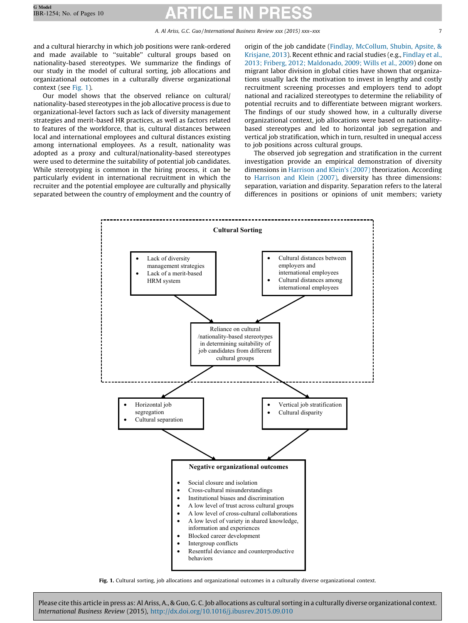and a cultural hierarchy in which job positions were rank-ordered and made available to ''suitable'' cultural groups based on nationality-based stereotypes. We summarize the findings of our study in the model of cultural sorting, job allocations and organizational outcomes in a culturally diverse organizational context (see Fig. 1).

Our model shows that the observed reliance on cultural/ nationality-based stereotypes in the job allocative process is due to organizational-level factors such as lack of diversity management strategies and merit-based HR practices, as well as factors related to features of the workforce, that is, cultural distances between local and international employees and cultural distances existing among international employees. As a result, nationality was adopted as a proxy and cultural/nationality-based stereotypes were used to determine the suitability of potential job candidates. While stereotyping is common in the hiring process, it can be particularly evident in international recruitment in which the recruiter and the potential employee are culturally and physically separated between the country of employment and the country of origin of the job candidate (Findlay, [McCollum,](#page-9-0) Shubin, Apsite, & [Krisjane,](#page-9-0) 2013). Recent ethnic and racial studies (e.g., [Findlay](#page-9-0) et al., 2013; Friberg, 2012; [Maldonado,](#page-9-0) 2009; Wills et al., 2009) done on migrant labor division in global cities have shown that organizations usually lack the motivation to invest in lengthy and costly recruitment screening processes and employers tend to adopt national and racialized stereotypes to determine the reliability of potential recruits and to differentiate between migrant workers. The findings of our study showed how, in a culturally diverse organizational context, job allocations were based on nationalitybased stereotypes and led to horizontal job segregation and vertical job stratification, which in turn, resulted in unequal access to job positions across cultural groups.

The observed job segregation and stratification in the current investigation provide an empirical demonstration of diversity dimensions in [Harrison](#page-9-0) and Klein's (2007) theorization. According to [Harrison](#page-9-0) and Klein (2007), diversity has three dimensions: separation, variation and disparity. Separation refers to the lateral differences in positions or opinions of unit members; variety



Fig. 1. Cultural sorting, job allocations and organizational outcomes in a culturally diverse organizational context.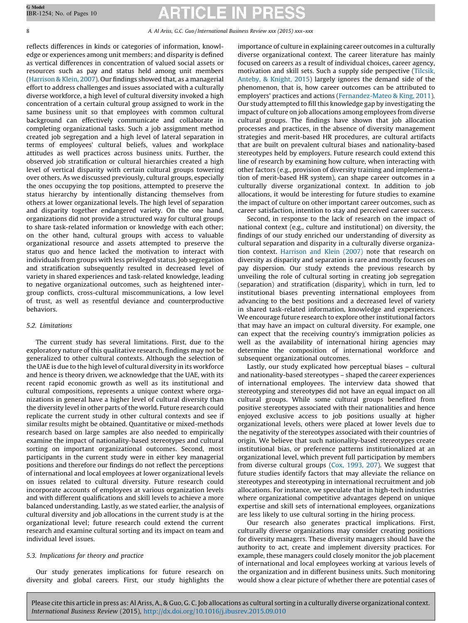reflects differences in kinds or categories of information, knowledge or experiences among unit members; and disparity is defined as vertical differences in concentration of valued social assets or resources such as pay and status held among unit members ([Harrison](#page-9-0) & Klein, 2007). Our findings showed that, as a managerial effort to address challenges and issues associated with a culturally diverse workforce, a high level of cultural diversity invoked a high concentration of a certain cultural group assigned to work in the same business unit so that employees with common cultural background can effectively communicate and collaborate in completing organizational tasks. Such a job assignment method created job segregation and a high level of lateral separation in terms of employees' cultural beliefs, values and workplace attitudes as well practices across business units. Further, the observed job stratification or cultural hierarchies created a high level of vertical disparity with certain cultural groups towering over others. As we discussed previously, cultural groups, especially the ones occupying the top positions, attempted to preserve the status hierarchy by intentionally distancing themselves from others at lower organizational levels. The high level of separation and disparity together endangered variety. On the one hand, organizations did not provide a structured way for cultural groups to share task-related information or knowledge with each other; on the other hand, cultural groups with access to valuable organizational resource and assets attempted to preserve the status quo and hence lacked the motivation to interact with individuals from groups with less privileged status. Job segregation and stratification subsequently resulted in decreased level of variety in shared experiences and task-related knowledge, leading to negative organizational outcomes, such as heightened intergroup conflicts, cross-cultural miscommunications, a low level of trust, as well as resentful deviance and counterproductive behaviors.

### 5.2. Limitations

The current study has several limitations. First, due to the exploratory nature of this qualitative research, findings may not be generalized to other cultural contexts. Although the selection of the UAE is due to the high level of cultural diversity in its workforce and hence is theory driven, we acknowledge that the UAE, with its recent rapid economic growth as well as its institutional and cultural compositions, represents a unique context where organizations in general have a higher level of cultural diversity than the diversity level in other parts of the world. Future research could replicate the current study in other cultural contexts and see if similar results might be obtained. Quantitative or mixed-methods research based on large samples are also needed to empirically examine the impact of nationality-based stereotypes and cultural sorting on important organizational outcomes. Second, most participants in the current study were in either key managerial positions and therefore our findings do not reflect the perceptions of international and local employees at lower organizational levels on issues related to cultural diversity. Future research could incorporate accounts of employees at various organization levels and with different qualifications and skill levels to achieve a more balanced understanding. Lastly, as we stated earlier, the analysis of cultural diversity and job allocations in the current study is at the organizational level; future research could extend the current research and examine cultural sorting and its impact on team and individual level issues.

### 5.3. Implications for theory and practice

Our study generates implications for future research on diversity and global careers. First, our study highlights the importance of culture in explaining career outcomes in a culturally diverse organizational context. The career literature has mainly focused on careers as a result of individual choices, career agency, motivation and skill sets. Such a supply side perspective [\(Tilcsik,](#page-10-0) [Anteby,](#page-10-0) & Knight, 2015) largely ignores the demand side of the phenomenon, that is, how career outcomes can be attributed to employers' practices and actions [\(Fernandez-Mateo](#page-9-0) & King, 2011). Our study attempted to fill this knowledge gap by investigating the impact of culture on job allocations among employees from diverse cultural groups. The findings have shown that job allocation processes and practices, in the absence of diversity management strategies and merit-based HR procedures, are cultural artifacts that are built on prevalent cultural biases and nationality-based stereotypes held by employers. Future research could extend this line of research by examining how culture, when interacting with other factors (e.g., provision of diversity training and implementation of merit-based HR system), can shape career outcomes in a culturally diverse organizational context. In addition to job allocations, it would be interesting for future studies to examine the impact of culture on other important career outcomes, such as career satisfaction, intention to stay and perceived career success.

Second, in response to the lack of research on the impact of national context (e.g., culture and institutional) on diversity, the findings of our study enriched our understanding of diversity as cultural separation and disparity in a culturally diverse organization context. [Harrison](#page-9-0) and Klein (2007) note that research on diversity as disparity and separation is rare and mostly focuses on pay dispersion. Our study extends the previous research by unveiling the role of cultural sorting in creating job segregation (separation) and stratification (disparity), which in turn, led to institutional biases preventing international employees from advancing to the best positions and a decreased level of variety in shared task-related information, knowledge and experiences. We encourage future research to explore other institutional factors that may have an impact on cultural diversity. For example, one can expect that the receiving country's immigration policies as well as the availability of international hiring agencies may determine the composition of international workforce and subsequent organizational outcomes.

Lastly, our study explicated how perceptual biases – cultural and nationality-based stereotypes – shaped the career experiences of international employees. The interview data showed that stereotyping and stereotypes did not have an equal impact on all cultural groups. While some cultural groups benefited from positive stereotypes associated with their nationalities and hence enjoyed exclusive access to job positions usually at higher organizational levels, others were placed at lower levels due to the negativity of the stereotypes associated with their countries of origin. We believe that such nationality-based stereotypes create institutional bias, or preference patterns institutionalized at an organizational level, which prevent full participation by members from diverse cultural groups (Cox, [1993,](#page-9-0) 207). We suggest that future studies identify factors that may alleviate the reliance on stereotypes and stereotyping in international recruitment and job allocations. For instance, we speculate that in high-tech industries where organizational competitive advantages depend on unique expertise and skill sets of international employees, organizations are less likely to use cultural sorting in the hiring process.

Our research also generates practical implications. First, culturally diverse organizations may consider creating positions for diversity managers. These diversity managers should have the authority to act, create and implement diversity practices. For example, these managers could closely monitor the job placement of international and local employees working at various levels of the organization and in different business units. Such monitoring would show a clear picture of whether there are potential cases of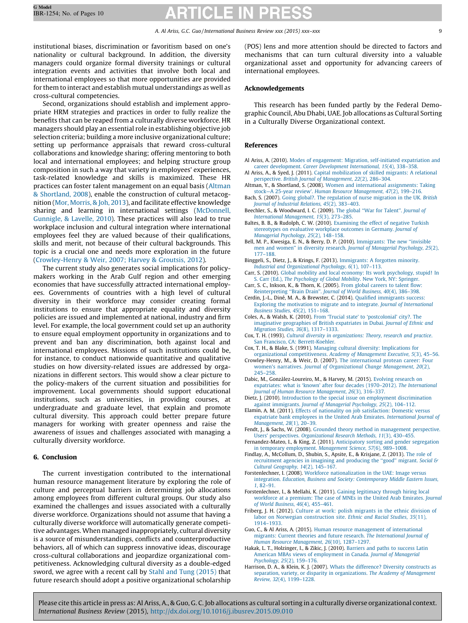<span id="page-9-0"></span>institutional biases, discrimination or favoritism based on one's nationality or cultural background. In addition, the diversity managers could organize formal diversity trainings or cultural integration events and activities that involve both local and international employees so that more opportunities are provided for them to interact and establish mutual understandings as well as cross-cultural competencies.

Second, organizations should establish and implement appropriate HRM strategies and practices in order to fully realize the benefits that can be reaped from a culturally diverse workforce. HR managers should play an essential role in establishing objective job selection criteria; building a more inclusive organizational culture; setting up performance appraisals that reward cross-cultural collaborations and knowledge sharing; offering mentoring to both local and international employees; and helping structure group composition in such a way that variety in employees' experiences, task-related knowledge and skills is maximized. These HR practices can foster talent management on an equal basis (Altman & Shortland, 2008), enable the construction of cultural metacognition (Mor, [Morris,](#page-10-0) & Joh, 2013), and facilitate effective knowledge sharing and learning in international settings [\(McDonnell,](#page-10-0) [Gunnigle,](#page-10-0) & Lavelle, 2010). These practices will also lead to true workplace inclusion and cultural integration where international employees feel they are valued because of their qualifications, skills and merit, not because of their cultural backgrounds. This topic is a crucial one and needs more exploration in the future (Crowley-Henry & Weir, 2007; Harvey & Groutsis, 2012).

The current study also generates social implications for policymakers working in the Arab Gulf region and other emerging economies that have successfully attracted international employees. Governments of countries with a high level of cultural diversity in their workforce may consider creating formal institutions to ensure that appropriate equality and diversity policies are issued and implemented at national, industry and firm level. For example, the local government could set up an authority to ensure equal employment opportunity in organizations and to prevent and ban any discrimination, both against local and international employees. Missions of such institutions could be, for instance, to conduct nationwide quantitative and qualitative studies on how diversity-related issues are addressed by organizations in different sectors. This would show a clear picture to the policy-makers of the current situation and possibilities for improvement. Local governments should support educational institutions, such as universities, in providing courses, at undergraduate and graduate level, that explain and promote cultural diversity. This approach could better prepare future managers for working with greater openness and raise the awareness of issues and challenges associated with managing a culturally diversity workforce.

### 6. Conclusion

The current investigation contributed to the international human resource management literature by exploring the role of culture and perceptual barriers in determining job allocations among employees from different cultural groups. Our study also examined the challenges and issues associated with a culturally diverse workforce. Organizations should not assume that having a culturally diverse workforce will automatically generate competitive advantages. When managed inappropriately, cultural diversity is a source of misunderstandings, conflicts and counterproductive behaviors, all of which can suppress innovative ideas, discourage cross-cultural collaborations and jeopardize organizational competitiveness. Acknowledging cultural diversity as a double-edged sword, we agree with a recent call by Stahl and Tung [\(2015\)](#page-10-0) that future research should adopt a positive organizational scholarship

(POS) lens and more attention should be directed to factors and mechanisms that can turn cultural diversity into a valuable organizational asset and opportunity for advancing careers of international employees.

### Acknowledgements

This research has been funded partly by the Federal Demographic Council, Abu Dhabi, UAE. Job allocations as Cultural Sorting in a Culturally Diverse Organizational context.

### References

- Al Ariss, A. (2010). Modes of [engagement:](http://refhub.elsevier.com/S0969-5931(15)30031-7/sbref0005) Migration, self-initiated expatriation and career [development.](http://refhub.elsevier.com/S0969-5931(15)30031-7/sbref0005) Career Development International, 15(4), 338–358.
- Al Ariss, A., & Syed, J. (2011). Capital [mobilization](http://refhub.elsevier.com/S0969-5931(15)30031-7/sbref0010) of skilled migrants: A relational perspective. British Journal of [Management,](http://refhub.elsevier.com/S0969-5931(15)30031-7/sbref0010) 22(2), 286–304.
- Altman, Y., & Shortland, S. (2008). Women and international [assignments:](http://refhub.elsevier.com/S0969-5931(15)30031-7/sbref0015) Taking stock—A 25-year review'. Human Resource [Management,](http://refhub.elsevier.com/S0969-5931(15)30031-7/sbref0015) 47(2), 199–216.
- Bach, S. (2007). Going global?. The [regulation](http://refhub.elsevier.com/S0969-5931(15)30031-7/sbref0020) of nurse migration in the UK. British Journal of Industrial [Relations,](http://refhub.elsevier.com/S0969-5931(15)30031-7/sbref0020)  $45(2)$ , 383-403.
- Beechler, S., & Woodward, I. C. (2009). The global ''War for [Talent''.](http://refhub.elsevier.com/S0969-5931(15)30031-7/sbref0025) Journal of International [Management,](http://refhub.elsevier.com/S0969-5931(15)30031-7/sbref0025) 15(3), 273–285.
- Baltes, B. B., & Rudolph, C. W. (2010). [Examining](http://refhub.elsevier.com/S0969-5931(15)30031-7/sbref0030) the effect of negative Turkish [stereotypes](http://refhub.elsevier.com/S0969-5931(15)30031-7/sbref0030) on evaluative workplace outcomes in Germany. Journal of Managerial [Psychology,](http://refhub.elsevier.com/S0969-5931(15)30031-7/sbref0030) 25(2), 148–158.
- Bell, M. P., Kwesiga, E. N., & Berry, D. P. (2010). [Immigrants:](http://refhub.elsevier.com/S0969-5931(15)30031-7/sbref0035) The new ''invisible men and women'' in diversity research. Journal of Managerial [Psychology,](http://refhub.elsevier.com/S0969-5931(15)30031-7/sbref0035) 25(2), [177–188.](http://refhub.elsevier.com/S0969-5931(15)30031-7/sbref0035)
- Binggeli, S., Dietz, J., & Krings, F. (2013). [Immigrants:](http://refhub.elsevier.com/S0969-5931(15)30031-7/sbref0040) A forgotten minority. Industrial and [Organizational](http://refhub.elsevier.com/S0969-5931(15)30031-7/sbref0040) Psychology, 6(1), 107–113.
- Carr, S. (2010). Global mobility and local economy: Its work [psychology,](http://refhub.elsevier.com/S0969-5931(15)30031-7/sbref0045) stupid! In S. Carr (Ed.), The [Psychology](http://refhub.elsevier.com/S0969-5931(15)30031-7/sbref0045) of Global Mobility. New York, NY: Springer. Carr, S. C., Inkson, K., & Thorn, K. (2005). From global [careers](http://refhub.elsevier.com/S0969-5931(15)30031-7/sbref0050) to talent flow:
- [Reinterpreting](http://refhub.elsevier.com/S0969-5931(15)30031-7/sbref0050) ''Brain Drain''. Journal of World Business, 40(4), 386–398.
- Cerdin, J.-L., Diné, M. A., & Brewster, C. (2014). Qualified [immigrants](http://refhub.elsevier.com/S0969-5931(15)30031-7/sbref0055) success: Exploring the motivation to migrate and to integrate. Journal of [International](http://refhub.elsevier.com/S0969-5931(15)30031-7/sbref0055) Business Studies, 45(2), [151–168.](http://refhub.elsevier.com/S0969-5931(15)30031-7/sbref0055)
- Coles, A., & Walsh, K. (2010). From 'Trucial state' to ['postcolonial'](http://refhub.elsevier.com/S0969-5931(15)30031-7/sbref0060) city?. The imaginative [geographies](http://refhub.elsevier.com/S0969-5931(15)30031-7/sbref0060) of British expatriates in Dubai. Journal of Ethnic and Migration Studies, 36(8), [1317–1333](http://refhub.elsevier.com/S0969-5931(15)30031-7/sbref0060).
- Cox, T. H. (1993). Cultural diversity in [organizations:](http://refhub.elsevier.com/S0969-5931(15)30031-7/sbref0065) Theory, research and practice. San Francisco, CA: [Berrett-Koehler](http://refhub.elsevier.com/S0969-5931(15)30031-7/sbref0065).
- Cox, T. H., & Blake, S. (1991). Managing cultural diversity: [Implications](http://refhub.elsevier.com/S0969-5931(15)30031-7/sbref0070) for organizational [competitiveness.](http://refhub.elsevier.com/S0969-5931(15)30031-7/sbref0070) Academy of Management Executive, 5(3), 45–56.
- Crowley-Henry, M., & Weir, D. (2007). The [international](http://refhub.elsevier.com/S0969-5931(15)30031-7/sbref0075) protean career: Four women's narratives. Journal of [Organizational](http://refhub.elsevier.com/S0969-5931(15)30031-7/sbref0075) Change Management, 20(2), [245–258](http://refhub.elsevier.com/S0969-5931(15)30031-7/sbref0075).
- Dabic, M., Gonzàlez-Loureiro, M., & Harvey, M. (2015). Evolving [research](http://refhub.elsevier.com/S0969-5931(15)30031-7/sbref0080) on expatriates: what is 'known' after four decades [\(1970–2012\).](http://refhub.elsevier.com/S0969-5931(15)30031-7/sbref0080) The International Journal of Human Resource [Management,](http://refhub.elsevier.com/S0969-5931(15)30031-7/sbref0080) 26(3), 316–337.
- Dietz, J. (2010). Introduction to the special issue on employment [discrimination](http://refhub.elsevier.com/S0969-5931(15)30031-7/sbref0085) against [immigrants.](http://refhub.elsevier.com/S0969-5931(15)30031-7/sbref0085) Journal of Managerial Psychology, 25(2), 104–112.
- Elamin, A. M. (2011). Effects of nationality on job [satisfaction:](http://refhub.elsevier.com/S0969-5931(15)30031-7/sbref0090) Domestic versus expatriate bank employees in the United Arab Emirates. [International](http://refhub.elsevier.com/S0969-5931(15)30031-7/sbref0090) Journal of [Management,](http://refhub.elsevier.com/S0969-5931(15)30031-7/sbref0090) 28(1), 20–39.
- Fendt, J., & Sachs, W. (2008). Grounded theory method in [management](http://refhub.elsevier.com/S0969-5931(15)30031-7/sbref0095) perspective. Users' perspectives. [Organizational](http://refhub.elsevier.com/S0969-5931(15)30031-7/sbref0095) Research Methods, 11(3), 430–455.
- Fernandez-Mateo, I., & King, Z. (2011). [Anticipatory](http://refhub.elsevier.com/S0969-5931(15)30031-7/sbref0100) sorting and gender segregation in temporary [employment.](http://refhub.elsevier.com/S0969-5931(15)30031-7/sbref0100) Management Science, 57(6), 989–1008.
- Findlay, A., McCollum, D., Shubin, S., Apsite, E., & Krisjane, Z. (2013). The [role](http://refhub.elsevier.com/S0969-5931(15)30031-7/sbref0105) of [recruitment](http://refhub.elsevier.com/S0969-5931(15)30031-7/sbref0105) agencies in imagining and producing the ''good'' migrant. Social & Cultural [Geography,](http://refhub.elsevier.com/S0969-5931(15)30031-7/sbref0105) 14(2), 145–167.
- Forstenlechner, I. (2008). Workforce [nationalization](http://refhub.elsevier.com/S0969-5931(15)30031-7/sbref0110) in the UAE: Image versus integration. Education, Business and Society: [Contemporary](http://refhub.elsevier.com/S0969-5931(15)30031-7/sbref0110) Middle Eastern Issues, 1, [82–91](http://refhub.elsevier.com/S0969-5931(15)30031-7/sbref0110).
- Forstenlechner, I., & Mellahi, K. (2011). Gaining [legitimacy](http://refhub.elsevier.com/S0969-5931(15)30031-7/sbref0115) through hiring local [workforce](http://refhub.elsevier.com/S0969-5931(15)30031-7/sbref0115) at a premium: The case of MNEs in the United Arab Emirates. Journal of World Business, 46(4), [455–461.](http://refhub.elsevier.com/S0969-5931(15)30031-7/sbref0115)
- Friberg, J. H. (2012). Culture at work: polish [migrants](http://refhub.elsevier.com/S0969-5931(15)30031-7/sbref0120) in the ethnic division of labor on Norwegian [construction](http://refhub.elsevier.com/S0969-5931(15)30031-7/sbref0120) site. Ethnic and Racial Studies, 35(11), [1914–1933.](http://refhub.elsevier.com/S0969-5931(15)30031-7/sbref0120)
- Guo, C., & Al Ariss, A. (2015). Human resource [management](http://refhub.elsevier.com/S0969-5931(15)30031-7/sbref0125) of international migrants: Current theories and future research. The [International](http://refhub.elsevier.com/S0969-5931(15)30031-7/sbref0125) Journal of Human Resource [Management,](http://refhub.elsevier.com/S0969-5931(15)30031-7/sbref0125) 26(10), 1287–1297.
- Hakak, L. T., Holzinger, I., & Zikic, J. (2010). [Barriers](http://refhub.elsevier.com/S0969-5931(15)30031-7/sbref0130) and paths to success Latin American MBAs views of [employment](http://refhub.elsevier.com/S0969-5931(15)30031-7/sbref0130) in Canada. Journal of Managerial [Psychology,](http://refhub.elsevier.com/S0969-5931(15)30031-7/sbref0130) 25(2), 159–176.
- Harrison, D. A., & Klein, K. J. (2007). Whats the [difference?](http://refhub.elsevier.com/S0969-5931(15)30031-7/sbref0135) Diversity constructs as separation, variety, or disparity in [organizations.](http://refhub.elsevier.com/S0969-5931(15)30031-7/sbref0135) The Academy of Management Review, 32(4), [1199–1228.](http://refhub.elsevier.com/S0969-5931(15)30031-7/sbref0135)